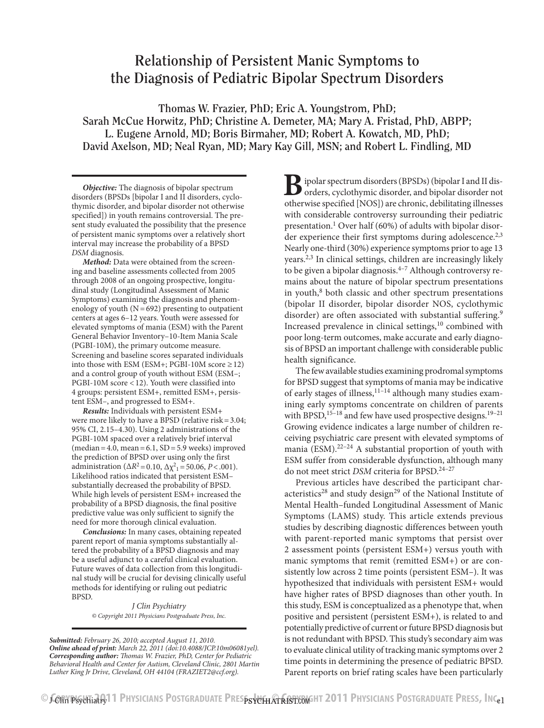# **Relationship of Persistent Manic Symptoms to the Diagnosis of Pediatric Bipolar Spectrum Disorders**

**Thomas W. Frazier, PhD; Eric A. Youngstrom, PhD; Sarah McCue Horwitz, PhD; Christine A. Demeter, MA; Mary A. Fristad, PhD, ABPP; L. Eugene Arnold, MD; Boris Birmaher, MD; Robert A. Kowatch, MD, PhD; David Axelson, MD; Neal Ryan, MD; Mary Kay Gill, MSN; and Robert L. Findling, MD**

*Objective:* The diagnosis of bipolar spectrum disorders (BPSDs [bipolar I and II disorders, cyclothymic disorder, and bipolar disorder not otherwise specified]) in youth remains controversial. The present study evaluated the possibility that the presence of persistent manic symptoms over a relatively short interval may increase the probability of a BPSD *DSM* diagnosis.

*Method:* Data were obtained from the screening and baseline assessments collected from 2005 through 2008 of an ongoing prospective, longitudinal study (Longitudinal Assessment of Manic Symptoms) examining the diagnosis and phenomenology of youth  $(N=692)$  presenting to outpatient centers at ages 6–12 years. Youth were assessed for elevated symptoms of mania (ESM) with the Parent General Behavior Inventory–10-Item Mania Scale (PGBI-10M), the primary outcome measure. Screening and baseline scores separated individuals into those with ESM (ESM+; PGBI-10M score  $\geq$  12) and a control group of youth without ESM (ESM–; PGBI-10M score <12). Youth were classified into 4 groups: persistent ESM+, remitted ESM+, persistent ESM–, and progressed to ESM+.

*Results:* Individuals with persistent ESM+ were more likely to have a BPSD (relative risk =  $3.04$ ; 95% CI, 2.15–4.30). Using 2 administrations of the PGBI-10M spaced over a relatively brief interval  $(median = 4.0, mean = 6.1, SD = 5.9$  weeks) improved the prediction of BPSD over using only the first administration ( $\Delta R^2 = 0.10$ ,  $\Delta \chi^2 = 50.06$ , *P*<.001). Likelihood ratios indicated that persistent ESM– substantially decreased the probability of BPSD. While high levels of persistent ESM+ increased the probability of a BPSD diagnosis, the final positive predictive value was only sufficient to signify the need for more thorough clinical evaluation.

*Conclusions:* In many cases, obtaining repeated parent report of mania symptoms substantially altered the probability of a BPSD diagnosis and may be a useful adjunct to a careful clinical evaluation. Future waves of data collection from this longitudinal study will be crucial for devising clinically useful methods for identifying or ruling out pediatric BPSD.

> *J Clin Psychiatry © Copyright 2011 Physicians Postgraduate Press, Inc.*

*Submitted: February 26, 2010; accepted August 11, 2010. Online ahead of print: March 22, 2011 (doi:10.4088/JCP.10m06081yel). Corresponding author: Thomas W. Frazier, PhD, Center for Pediatric Behavioral Health and Center for Autism, Cleveland Clinic, 2801 Martin Luther King Jr Drive, Cleveland, OH 44104 (FRAZIET2@ccf.org).*

**B**ipolar spectrum disorders (BPSDs) (bipolar I and II disorders, cyclothymic disorder, and bipolar disorder not otherwise specified [NOS]) are chronic, debilitating illnesses with considerable controversy surrounding their pediatric presentation.<sup>1</sup> Over half (60%) of adults with bipolar disorder experience their first symptoms during adolescence.<sup>2,3</sup> Nearly one-third (30%) experience symptoms prior to age 13 years.<sup>2,3</sup> In clinical settings, children are increasingly likely to be given a bipolar diagnosis. $4-7$  Although controversy remains about the nature of bipolar spectrum presentations in youth,<sup>8</sup> both classic and other spectrum presentations (bipolar II disorder, bipolar disorder NOS, cyclothymic disorder) are often associated with substantial suffering.<sup>9</sup> Increased prevalence in clinical settings, $10$  combined with poor long-term outcomes, make accurate and early diagnosis of BPSD an important challenge with considerable public health significance.

The few available studies examining prodromal symptoms for BPSD suggest that symptoms of mania may be indicative of early stages of illness,  $11^{-14}$  although many studies examining early symptoms concentrate on children of parents with BPSD,  $15-18$  and few have used prospective designs.  $19-21$ Growing evidence indicates a large number of children receiving psychiatric care present with elevated symptoms of mania (ESM). $22-24$  A substantial proportion of youth with ESM suffer from considerable dysfunction, although many do not meet strict *DSM* criteria for BPSD.<sup>24-27</sup>

Previous articles have described the participant characteristics<sup>28</sup> and study design<sup>29</sup> of the National Institute of Mental Health–funded Longitudinal Assessment of Manic Symptoms (LAMS) study. This article extends previous studies by describing diagnostic differences between youth with parent-reported manic symptoms that persist over 2 assessment points (persistent ESM+) versus youth with manic symptoms that remit (remitted ESM+) or are consistently low across 2 time points (persistent ESM–). It was hypothesized that individuals with persistent ESM+ would have higher rates of BPSD diagnoses than other youth. In this study, ESM is conceptualized as a phenotype that, when positive and persistent (persistent ESM+), is related to and potentially predictive of current or future BPSD diagnosis but is not redundant with BPSD. This study's secondary aim was to evaluate clinical utility of tracking manic symptoms over 2 time points in determining the presence of pediatric BPSD. Parent reports on brief rating scales have been particularly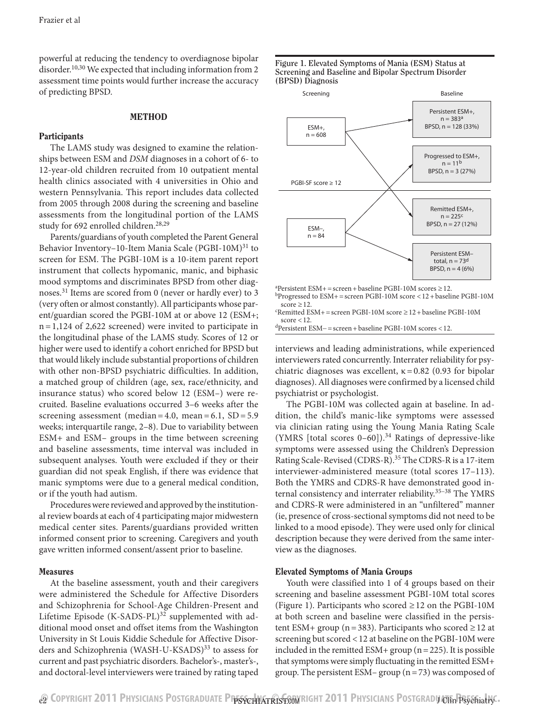powerful at reducing the tendency to overdiagnose bipolar disorder.<sup>10,30</sup> We expected that including information from 2 assessment time points would further increase the accuracy of predicting BPSD.

## **METHOD**

## **Participants**

The LAMS study was designed to examine the relationships between ESM and *DSM* diagnoses in a cohort of 6- to 12-year-old children recruited from 10 outpatient mental health clinics associated with 4 universities in Ohio and western Pennsylvania. This report includes data collected from 2005 through 2008 during the screening and baseline assessments from the longitudinal portion of the LAMS study for 692 enrolled children.<sup>28,29</sup>

Parents/guardians of youth completed the Parent General Behavior Inventory–10-Item Mania Scale (PGBI-10M)<sup>31</sup> to screen for ESM. The PGBI-10M is a 10-item parent report instrument that collects hypomanic, manic, and biphasic mood symptoms and discriminates BPSD from other diagnoses.<sup>31</sup> Items are scored from 0 (never or hardly ever) to 3 (very often or almost constantly). All participants whose parent/guardian scored the PGBI-10M at or above 12 (ESM+; n=1,124 of 2,622 screened) were invited to participate in the longitudinal phase of the LAMS study. Scores of 12 or higher were used to identify a cohort enriched for BPSD but that would likely include substantial proportions of children with other non-BPSD psychiatric difficulties. In addition, a matched group of children (age, sex, race/ethnicity, and insurance status) who scored below 12 (ESM–) were recruited. Baseline evaluations occurred 3–6 weeks after the screening assessment (median =  $4.0$ , mean =  $6.1$ , SD =  $5.9$ weeks; interquartile range, 2–8). Due to variability between ESM+ and ESM– groups in the time between screening and baseline assessments, time interval was included in subsequent analyses. Youth were excluded if they or their guardian did not speak English, if there was evidence that manic symptoms were due to a general medical condition, or if the youth had autism.

Procedures were reviewed and approved by the institutional review boards at each of 4 participating major midwestern medical center sites. Parents/guardians provided written informed consent prior to screening. Caregivers and youth gave written informed consent/assent prior to baseline.

## Measures

At the baseline assessment, youth and their caregivers were administered the Schedule for Affective Disorders and Schizophrenia for School-Age Children-Present and Lifetime Episode  $(K-SADS-PL)^{32}$  supplemented with additional mood onset and offset items from the Washington University in St Louis Kiddie Schedule for Affective Disorders and Schizophrenia (WASH-U-KSADS)<sup>33</sup> to assess for current and past psychiatric disorders. Bachelor's-, master's-, and doctoral-level interviewers were trained by rating taped





 $a$ Persistent ESM+ = screen + baseline PGBI-10M scores  $\geq$  12.

<sup>b</sup>Progressed to ESM+=screen PGBI-10M score <12+baseline PGBI-10M score ≥ 12.<br>'Remitted ESM+ = screen PGBI-10M score ≥ 12 + baseline PGBI-10M

score < 12.  $d$ Persistent ESM− = screen + baseline PGBI-10M scores < 12.

interviews and leading administrations, while experienced interviewers rated concurrently. Interrater reliability for psychiatric diagnoses was excellent,  $\kappa$  = 0.82 (0.93 for bipolar diagnoses). All diagnoses were confirmed by a licensed child psychiatrist or psychologist.

The PGBI-10M was collected again at baseline. In addition, the child's manic-like symptoms were assessed via clinician rating using the Young Mania Rating Scale (YMRS [total scores  $0-60$ ]).<sup>34</sup> Ratings of depressive-like symptoms were assessed using the Children's Depression Rating Scale-Revised (CDRS-R).<sup>35</sup> The CDRS-R is a 17-item interviewer-administered measure (total scores 17–113). Both the YMRS and CDRS-R have demonstrated good internal consistency and interrater reliability.<sup>35-38</sup> The YMRS and CDRS-R were administered in an "unfiltered" manner (ie, presence of cross-sectional symptoms did not need to be linked to a mood episode). They were used only for clinical description because they were derived from the same interview as the diagnoses.

## Elevated Symptoms of Mania Groups

Youth were classified into 1 of 4 groups based on their screening and baseline assessment PGBI-10M total scores (Figure 1). Participants who scored  $\geq$  12 on the PGBI-10M at both screen and baseline were classified in the persistent ESM+ group (n=383). Participants who scored  $\geq$  12 at screening but scored <12 at baseline on the PGBI-10M were included in the remitted ESM+ group  $(n=225)$ . It is possible that symptoms were simply fluctuating in the remitted ESM+ group. The persistent ESM– group  $(n=73)$  was composed of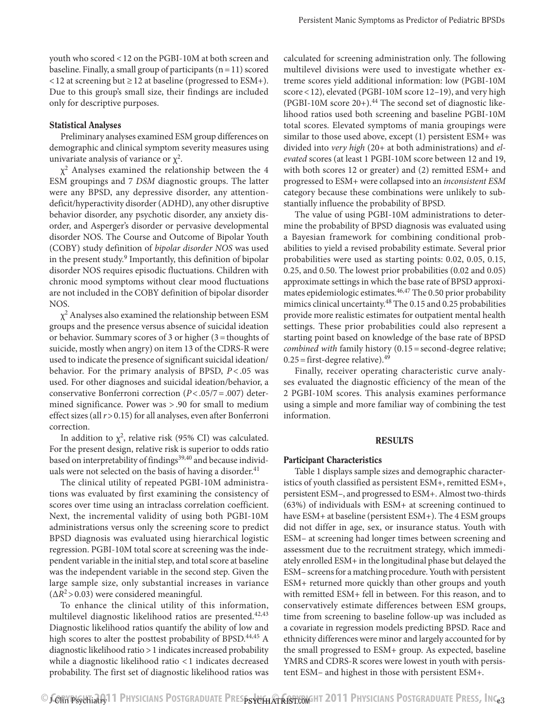youth who scored <12 on the PGBI-10M at both screen and baseline. Finally, a small group of participants  $(n=11)$  scored <12 at screening but ≥12 at baseline (progressed to ESM+). Due to this group's small size, their findings are included only for descriptive purposes.

## Statistical Analyses

Preliminary analyses examined ESM group differences on demographic and clinical symptom severity measures using univariate analysis of variance or  $\chi^2$ .

 $\chi^2$  Analyses examined the relationship between the 4 ESM groupings and 7 *DSM* diagnostic groups. The latter were any BPSD, any depressive disorder, any attentiondeficit/hyperactivity disorder (ADHD), any other disruptive behavior disorder, any psychotic disorder, any anxiety disorder, and Asperger's disorder or pervasive developmental disorder NOS. The Course and Outcome of Bipolar Youth (COBY) study definition of *bipolar disorder NOS* was used in the present study.<sup>9</sup> Importantly, this definition of bipolar disorder NOS requires episodic fluctuations. Children with chronic mood symptoms without clear mood fluctuations are not included in the COBY definition of bipolar disorder NOS.

 $\chi^2$  Analyses also examined the relationship between ESM groups and the presence versus absence of suicidal ideation or behavior. Summary scores of 3 or higher (3=thoughts of suicide, mostly when angry) on item 13 of the CDRS-R were used to indicate the presence of significant suicidal ideation/ behavior. For the primary analysis of BPSD, *P* < .05 was used. For other diagnoses and suicidal ideation/behavior, a conservative Bonferroni correction (*P*<.05/7=.007) determined significance. Power was > .90 for small to medium effect sizes (all *r*>0.15) for all analyses, even after Bonferroni correction.

In addition to  $\chi^2$ , relative risk (95% CI) was calculated. For the present design, relative risk is superior to odds ratio based on interpretability of findings<sup>39,40</sup> and because individuals were not selected on the basis of having a disorder. $41$ 

The clinical utility of repeated PGBI-10M administrations was evaluated by first examining the consistency of scores over time using an intraclass correlation coefficient. Next, the incremental validity of using both PGBI-10M administrations versus only the screening score to predict BPSD diagnosis was evaluated using hierarchical logistic regression. PGBI-10M total score at screening was the independent variable in the initial step, and total score at baseline was the independent variable in the second step. Given the large sample size, only substantial increases in variance  $(\Delta R^2 > 0.03)$  were considered meaningful.

To enhance the clinical utility of this information, multilevel diagnostic likelihood ratios are presented. $42,43$ Diagnostic likelihood ratios quantify the ability of low and high scores to alter the posttest probability of BPSD.<sup>44,45</sup> A diagnostic likelihood ratio >1 indicates increased probability while a diagnostic likelihood ratio <1 indicates decreased probability. The first set of diagnostic likelihood ratios was calculated for screening administration only. The following multilevel divisions were used to investigate whether extreme scores yield additional information: low (PGBI-10M score < 12), elevated (PGBI-10M score 12–19), and very high (PGBI-10M score  $20+$ ).<sup>44</sup> The second set of diagnostic likelihood ratios used both screening and baseline PGBI-10M total scores. Elevated symptoms of mania groupings were similar to those used above, except (1) persistent ESM+ was divided into *very high* (20+ at both administrations) and *elevated* scores (at least 1 PGBI-10M score between 12 and 19, with both scores 12 or greater) and (2) remitted ESM+ and progressed to ESM+ were collapsed into an *inconsistent ESM* category because these combinations were unlikely to substantially influence the probability of BPSD.

The value of using PGBI-10M administrations to determine the probability of BPSD diagnosis was evaluated using a Bayesian framework for combining conditional probabilities to yield a revised probability estimate. Several prior probabilities were used as starting points: 0.02, 0.05, 0.15, 0.25, and 0.50. The lowest prior probabilities (0.02 and 0.05) approximate settings in which the base rate of BPSD approximates epidemiologic estimates.<sup>46,47</sup> The 0.50 prior probability mimics clinical uncertainty.48 The 0.15 and 0.25 probabilities provide more realistic estimates for outpatient mental health settings. These prior probabilities could also represent a starting point based on knowledge of the base rate of BPSD *combined with* family history (0.15 = second-degree relative;  $0.25 =$  first-degree relative).<sup>49</sup>

Finally, receiver operating characteristic curve analyses evaluated the diagnostic efficiency of the mean of the 2 PGBI-10M scores. This analysis examines performance using a simple and more familiar way of combining the test information.

## **RESULTS**

## Participant Characteristics

Table 1 displays sample sizes and demographic characteristics of youth classified as persistent ESM+, remitted ESM+, persistent ESM–, and progressed to ESM+. Almost two-thirds (63%) of individuals with ESM+ at screening continued to have ESM+ at baseline (persistent ESM+). The 4 ESM groups did not differ in age, sex, or insurance status. Youth with ESM– at screening had longer times between screening and assessment due to the recruitment strategy, which immediately enrolled ESM+ in the longitudinal phase but delayed the ESM– screens for a matching procedure. Youth with persistent ESM+ returned more quickly than other groups and youth with remitted ESM+ fell in between. For this reason, and to conservatively estimate differences between ESM groups, time from screening to baseline follow-up was included as a covariate in regression models predicting BPSD. Race and ethnicity differences were minor and largely accounted for by the small progressed to ESM+ group. As expected, baseline YMRS and CDRS-R scores were lowest in youth with persistent ESM– and highest in those with persistent ESM+.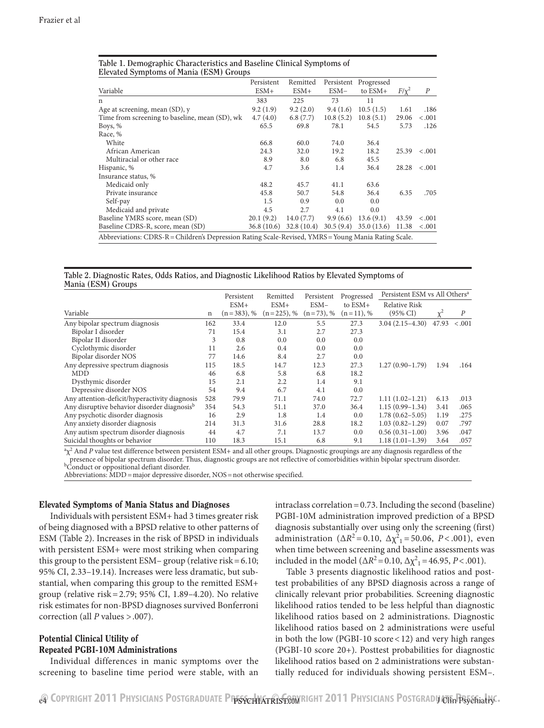|                                                                                                      | Persistent | Remitted   | Persistent | Progressed  |            |                  |
|------------------------------------------------------------------------------------------------------|------------|------------|------------|-------------|------------|------------------|
| Variable                                                                                             | $ESM+$     | $ESM+$     | ESM-       | to ESM+     | $F/\chi^2$ | $\boldsymbol{P}$ |
| n                                                                                                    | 383        | 225        | 73         | 11          |            |                  |
| Age at screening, mean (SD), y                                                                       | 9.2(1.9)   | 9.2(2.0)   | 9.4(1.6)   | 10.5(1.5)   | 1.61       | .186             |
| Time from screening to baseline, mean (SD), wk                                                       | 4.7(4.0)   | 6.8(7.7)   | 10.8(5.2)  | 10.8(5.1)   | 29.06      | < .001           |
| Boys, %                                                                                              | 65.5       | 69.8       | 78.1       | 54.5        | 5.73       | .126             |
| Race, %                                                                                              |            |            |            |             |            |                  |
| White                                                                                                | 66.8       | 60.0       | 74.0       | 36.4        |            |                  |
| African American                                                                                     | 24.3       | 32.0       | 19.2       | 18.2        | 25.39      | < .001           |
| Multiracial or other race                                                                            | 8.9        | 8.0        | 6.8        | 45.5        |            |                  |
| Hispanic, %                                                                                          | 4.7        | 3.6        | 1.4        | 36.4        | 28.28      | < .001           |
| Insurance status, %                                                                                  |            |            |            |             |            |                  |
| Medicaid only                                                                                        | 48.2       | 45.7       | 41.1       | 63.6        |            |                  |
| Private insurance                                                                                    | 45.8       | 50.7       | 54.8       | 36.4        | 6.35       | .705             |
| Self-pay                                                                                             | 1.5        | 0.9        | 0.0        | 0.0         |            |                  |
| Medicaid and private                                                                                 | 4.5        | 2.7        | 4.1        | 0.0         |            |                  |
| Baseline YMRS score, mean (SD)                                                                       | 20.1(9.2)  | 14.0(7.7)  | 9.9(6.6)   | 13.6(9.1)   | 43.59      | < .001           |
| Baseline CDRS-R, score, mean (SD)                                                                    | 36.8(10.6) | 32.8(10.4) | 30.5(9.4)  | 35.0 (13.6) | 11.38      | < .001           |
| Abbreviations: CDRS-R = Children's Depression Rating Scale-Revised, YMRS = Young Mania Rating Scale. |            |            |            |             |            |                  |

**Table 1. Demographic Characteristics and Baseline Clinical Symptoms of Elevated Symptoms of Mania (ESM) Groups**

### **Table 2. Diagnostic Rates, Odds Ratios, and Diagnostic Likelihood Ratios by Elevated Symptoms of Mania (ESM) Groups**

|                                                         |             | Persistent    | Remitted      | Persistent   | Progressed  | Persistent ESM vs All Others <sup>a</sup> |          |                  |
|---------------------------------------------------------|-------------|---------------|---------------|--------------|-------------|-------------------------------------------|----------|------------------|
|                                                         |             | $ESM+$        | $ESM+$        | $ESM-$       | to $ESM+$   | <b>Relative Risk</b>                      |          |                  |
| Variable                                                | $\mathbf n$ | $(n=383)$ , % | $(n=225)$ , % | $(n=73)$ , % | $(n=11), %$ | $(95\% \text{ CI})$                       | $\chi^2$ | $\boldsymbol{P}$ |
| Any bipolar spectrum diagnosis                          | 162         | 33.4          | 12.0          | 5.5          | 27.3        | $3.04(2.15-4.30)$                         | 47.93    | $-.001$          |
| Bipolar I disorder                                      | 71          | 15.4          | 3.1           | 2.7          | 27.3        |                                           |          |                  |
| Bipolar II disorder                                     | 3           | 0.8           | 0.0           | 0.0          | 0.0         |                                           |          |                  |
| Cyclothymic disorder                                    | 11          | 2.6           | 0.4           | 0.0          | 0.0         |                                           |          |                  |
| Bipolar disorder NOS                                    | 77          | 14.6          | 8.4           | 2.7          | 0.0         |                                           |          |                  |
| Any depressive spectrum diagnosis                       | 115         | 18.5          | 14.7          | 12.3         | 27.3        | $1.27(0.90-1.79)$                         | 1.94     | .164             |
| MDD                                                     | 46          | 6.8           | 5.8           | 6.8          | 18.2        |                                           |          |                  |
| Dysthymic disorder                                      | 15          | 2.1           | 2.2           | 1.4          | 9.1         |                                           |          |                  |
| Depressive disorder NOS                                 | 54          | 9.4           | 6.7           | 4.1          | 0.0         |                                           |          |                  |
| Any attention-deficit/hyperactivity diagnosis           | 528         | 79.9          | 71.1          | 74.0         | 72.7        | $1.11(1.02-1.21)$                         | 6.13     | .013             |
| Any disruptive behavior disorder diagnosis <sup>b</sup> | 354         | 54.3          | 51.1          | 37.0         | 36.4        | $1.15(0.99 - 1.34)$                       | 3.41     | .065             |
| Any psychotic disorder diagnosis                        | 16          | 2.9           | 1.8           | 1.4          | 0.0         | $1.78(0.62 - 5.05)$                       | 1.19     | .275             |
| Any anxiety disorder diagnosis                          | 214         | 31.3          | 31.6          | 28.8         | 18.2        | $1.03(0.82 - 1.29)$                       | 0.07     | .797             |
| Any autism spectrum disorder diagnosis                  | 44          | 4.7           | 7.1           | 13.7         | 0.0         | $0.56(0.31-1.00)$                         | 3.96     | .047             |
| Suicidal thoughts or behavior                           | 110         | 18.3          | 15.1          | 6.8          | 9.1         | $1.18(1.01-1.39)$                         | 3.64     | .057             |

<sup>a</sup> $\chi^2$  And *P* value test difference between persistent ESM+ and all other groups. Diagnostic groupings are any diagnosis regardless of the presence of bipolar spectrum disorder. Thus, diagnostic groups are not reflective of comorbidities within bipolar spectrum disorder.<br><sup>b</sup>Conduct or oppositional defiant disorder.  $b_{\text{Conduct}}^{\dagger}$  onduct or oppositional defiant disorder.<br>Abbreviations: MDD = major depressive disorder, NOS = not otherwise specified.

## Elevated Symptoms of Mania Status and Diagnoses

Individuals with persistent ESM+ had 3 times greater risk of being diagnosed with a BPSD relative to other patterns of ESM (Table 2). Increases in the risk of BPSD in individuals with persistent ESM+ were most striking when comparing this group to the persistent ESM– group (relative risk=6.10; 95% CI, 2.33–19.14). Increases were less dramatic, but substantial, when comparing this group to the remitted ESM+ group (relative risk=2.79; 95% CI, 1.89–4.20). No relative risk estimates for non-BPSD diagnoses survived Bonferroni correction (all *P* values >.007).

## Potential Clinical Utility of Repeated PGBI-10M Administrations

Individual differences in manic symptoms over the screening to baseline time period were stable, with an

intraclass correlation=0.73. Including the second (baseline) PGBI-10M administration improved prediction of a BPSD diagnosis substantially over using only the screening (first) administration ( $\Delta R^2 = 0.10$ ,  $\Delta \chi^2 = 50.06$ ,  $P < .001$ ), even when time between screening and baseline assessments was included in the model ( $\Delta R^2 = 0.10$ ,  $\Delta \chi^2 = 46.95$ , *P*<.001).

Table 3 presents diagnostic likelihood ratios and posttest probabilities of any BPSD diagnosis across a range of clinically relevant prior probabilities. Screening diagnostic likelihood ratios tended to be less helpful than diagnostic likelihood ratios based on 2 administrations. Diagnostic likelihood ratios based on 2 administrations were useful in both the low (PGBI-10 score<12) and very high ranges (PGBI-10 score 20+). Posttest probabilities for diagnostic likelihood ratios based on 2 administrations were substantially reduced for individuals showing persistent ESM–.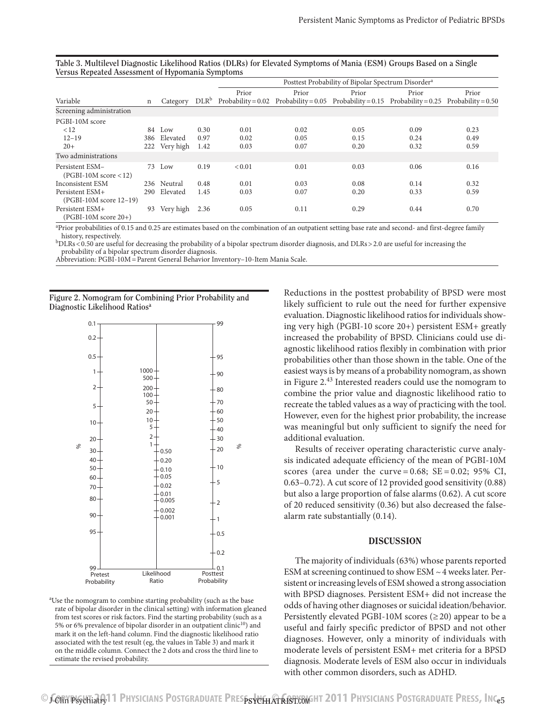|                                            |     |               |      | Posttest Probability of Bipolar Spectrum Disorder <sup>a</sup> |                                                                                                       |       |       |       |  |
|--------------------------------------------|-----|---------------|------|----------------------------------------------------------------|-------------------------------------------------------------------------------------------------------|-------|-------|-------|--|
|                                            |     |               |      | Prior                                                          | Prior                                                                                                 | Prior | Prior | Prior |  |
| Variable                                   | n   | Category      |      |                                                                | $DLRb$ Probability = 0.02 Probability = 0.05 Probability = 0.15 Probability = 0.25 Probability = 0.50 |       |       |       |  |
| Screening administration                   |     |               |      |                                                                |                                                                                                       |       |       |       |  |
| PGBI-10M score                             |     |               |      |                                                                |                                                                                                       |       |       |       |  |
| < 12                                       |     | 84 Low        | 0.30 | 0.01                                                           | 0.02                                                                                                  | 0.05  | 0.09  | 0.23  |  |
| $12 - 19$                                  | 386 | Elevated      | 0.97 | 0.02                                                           | 0.05                                                                                                  | 0.15  | 0.24  | 0.49  |  |
| $20+$                                      |     | 222 Very high | 1.42 | 0.03                                                           | 0.07                                                                                                  | 0.20  | 0.32  | 0.59  |  |
| Two administrations                        |     |               |      |                                                                |                                                                                                       |       |       |       |  |
| Persistent ESM-<br>$(PGBI-10M score < 12)$ |     | 73 Low        | 0.19 | < 0.01                                                         | 0.01                                                                                                  | 0.03  | 0.06  | 0.16  |  |
| Inconsistent ESM                           |     | 236 Neutral   | 0.48 | 0.01                                                           | 0.03                                                                                                  | 0.08  | 0.14  | 0.32  |  |
| Persistent ESM+<br>(PGBI-10M score 12-19)  | 290 | Elevated      | 1.45 | 0.03                                                           | 0.07                                                                                                  | 0.20  | 0.33  | 0.59  |  |
| Persistent ESM+<br>$(PGBI-10M score 20+)$  | 93  | Very high     | 2.36 | 0.05                                                           | 0.11                                                                                                  | 0.29  | 0.44  | 0.70  |  |

**Table 3. Multilevel Diagnostic Likelihood Ratios (DLRs) for Elevated Symptoms of Mania (ESM) Groups Based on a Single Versus Repeated Assessment of Hypomania Symptoms**

a Prior probabilities of 0.15 and 0.25 are estimates based on the combination of an outpatient setting base rate and second- and first-degree family

history, respectively. but the probability of a bipolar spectrum disorder diagnosis, and DLRs > 2.0 are useful for increasing the probability of a bipolar spectrum disorder diagnosis, and DLRs > 2.0 are useful for increas probability of a bipolar spectrum disorder diagnosis.

Abbreviation: PGBI-10M=Parent General Behavior Inventory–10-Item Mania Scale.

**Figure 2. Nomogram for Combining Prior Probability and Diagnostic Likelihood Ratiosa**



a Use the nomogram to combine starting probability (such as the base rate of bipolar disorder in the clinical setting) with information gleaned from test scores or risk factors. Find the starting probability (such as a 5% or 6% prevalence of bipolar disorder in an outpatient clinic<sup>10</sup>) and mark it on the left-hand column. Find the diagnostic likelihood ratio associated with the test result (eg, the values in Table 3) and mark it on the middle column. Connect the 2 dots and cross the third line to estimate the revised probability.

Reductions in the posttest probability of BPSD were most likely sufficient to rule out the need for further expensive evaluation. Diagnostic likelihood ratios for individuals showing very high (PGBI-10 score 20+) persistent ESM+ greatly increased the probability of BPSD. Clinicians could use diagnostic likelihood ratios flexibly in combination with prior probabilities other than those shown in the table. One of the easiest ways is by means of a probability nomogram, as shown in Figure 2.43 Interested readers could use the nomogram to combine the prior value and diagnostic likelihood ratio to recreate the tabled values as a way of practicing with the tool. However, even for the highest prior probability, the increase was meaningful but only sufficient to signify the need for additional evaluation.

Results of receiver operating characteristic curve analysis indicated adequate efficiency of the mean of PGBI-10M scores (area under the curve =  $0.68$ ; SE =  $0.02$ ; 95% CI, 0.63–0.72). A cut score of 12 provided good sensitivity (0.88) but also a large proportion of false alarms (0.62). A cut score of 20 reduced sensitivity (0.36) but also decreased the falsealarm rate substantially (0.14).

## DISCUSSION

The majority of individuals (63%) whose parents reported ESM at screening continued to show ESM ~4 weeks later. Persistent or increasing levels of ESM showed a strong association with BPSD diagnoses. Persistent ESM+ did not increase the odds of having other diagnoses or suicidal ideation/behavior. Persistently elevated PGBI-10M scores  $(\geq 20)$  appear to be a useful and fairly specific predictor of BPSD and not other diagnoses. However, only a minority of individuals with moderate levels of persistent ESM+ met criteria for a BPSD diagnosis. Moderate levels of ESM also occur in individuals with other common disorders, such as ADHD.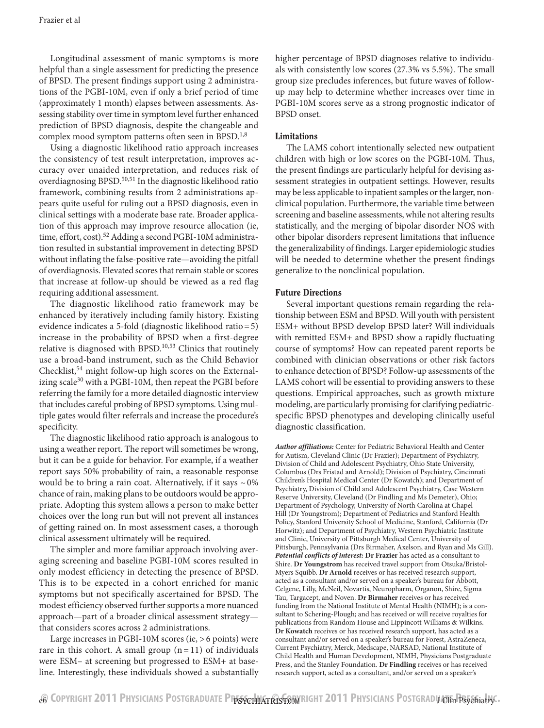Longitudinal assessment of manic symptoms is more helpful than a single assessment for predicting the presence of BPSD. The present findings support using 2 administrations of the PGBI-10M, even if only a brief period of time (approximately 1 month) elapses between assessments. Assessing stability over time in symptom level further enhanced prediction of BPSD diagnosis, despite the changeable and complex mood symptom patterns often seen in BPSD.<sup>1,8</sup>

Using a diagnostic likelihood ratio approach increases the consistency of test result interpretation, improves accuracy over unaided interpretation, and reduces risk of overdiagnosing BPSD.<sup>50,51</sup> In the diagnostic likelihood ratio framework, combining results from 2 administrations appears quite useful for ruling out a BPSD diagnosis, even in clinical settings with a moderate base rate. Broader application of this approach may improve resource allocation (ie, time, effort, cost).<sup>52</sup> Adding a second PGBI-10M administration resulted in substantial improvement in detecting BPSD without inflating the false-positive rate—avoiding the pitfall of overdiagnosis. Elevated scores that remain stable or scores that increase at follow-up should be viewed as a red flag requiring additional assessment.

The diagnostic likelihood ratio framework may be enhanced by iteratively including family history. Existing evidence indicates a 5-fold (diagnostic likelihood ratio=5) increase in the probability of BPSD when a first-degree relative is diagnosed with BPSD.10,53 Clinics that routinely use a broad-band instrument, such as the Child Behavior Checklist,  $54$  might follow-up high scores on the Externalizing scale $30$  with a PGBI-10M, then repeat the PGBI before referring the family for a more detailed diagnostic interview that includes careful probing of BPSD symptoms. Using multiple gates would filter referrals and increase the procedure's specificity.

The diagnostic likelihood ratio approach is analogous to using a weather report. The report will sometimes be wrong, but it can be a guide for behavior. For example, if a weather report says 50% probability of rain, a reasonable response would be to bring a rain coat. Alternatively, if it says  $\sim 0\%$ chance of rain, making plans to be outdoors would be appropriate. Adopting this system allows a person to make better choices over the long run but will not prevent all instances of getting rained on. In most assessment cases, a thorough clinical assessment ultimately will be required.

The simpler and more familiar approach involving averaging screening and baseline PGBI-10M scores resulted in only modest efficiency in detecting the presence of BPSD. This is to be expected in a cohort enriched for manic symptoms but not specifically ascertained for BPSD. The modest efficiency observed further supports a more nuanced approach—part of a broader clinical assessment strategy that considers scores across 2 administrations.

Large increases in PGBI-10M scores (ie, >6 points) were rare in this cohort. A small group  $(n=11)$  of individuals were ESM– at screening but progressed to ESM+ at baseline. Interestingly, these individuals showed a substantially higher percentage of BPSD diagnoses relative to individuals with consistently low scores (27.3% vs 5.5%). The small group size precludes inferences, but future waves of followup may help to determine whether increases over time in PGBI-10M scores serve as a strong prognostic indicator of BPSD onset.

## Limitations

The LAMS cohort intentionally selected new outpatient children with high or low scores on the PGBI-10M. Thus, the present findings are particularly helpful for devising assessment strategies in outpatient settings. However, results may be less applicable to inpatient samples or the larger, nonclinical population. Furthermore, the variable time between screening and baseline assessments, while not altering results statistically, and the merging of bipolar disorder NOS with other bipolar disorders represent limitations that influence the generalizability of findings. Larger epidemiologic studies will be needed to determine whether the present findings generalize to the nonclinical population.

## Future Directions

Several important questions remain regarding the relationship between ESM and BPSD. Will youth with persistent ESM+ without BPSD develop BPSD later? Will individuals with remitted ESM+ and BPSD show a rapidly fluctuating course of symptoms? How can repeated parent reports be combined with clinician observations or other risk factors to enhance detection of BPSD? Follow-up assessments of the LAMS cohort will be essential to providing answers to these questions. Empirical approaches, such as growth mixture modeling, are particularly promising for clarifying pediatricspecific BPSD phenotypes and developing clinically useful diagnostic classification.

*Author affiliations:* Center for Pediatric Behavioral Health and Center for Autism, Cleveland Clinic (Dr Frazier); Department of Psychiatry, Division of Child and Adolescent Psychiatry, Ohio State University, Columbus (Drs Fristad and Arnold); Division of Psychiatry, Cincinnati Children's Hospital Medical Center (Dr Kowatch); and Department of Psychiatry, Division of Child and Adolescent Psychiatry, Case Western Reserve University, Cleveland (Dr Findling and Ms Demeter), Ohio; Department of Psychology, University of North Carolina at Chapel Hill (Dr Youngstrom); Department of Pediatrics and Stanford Health Policy, Stanford University School of Medicine, Stanford, California (Dr Horwitz); and Department of Psychiatry, Western Psychiatric Institute and Clinic, University of Pittsburgh Medical Center, University of Pittsburgh, Pennsylvania (Drs Birmaher, Axelson, and Ryan and Ms Gill). *Potential conflicts of interest:* **Dr Frazier** has acted as a consultant to Shire. **Dr Youngstrom** has received travel support from Otsuka/Bristol-Myers Squibb. **Dr Arnold** receives or has received research support, acted as a consultant and/or served on a speaker's bureau for Abbott, Celgene, Lilly, McNeil, Novartis, Neuropharm, Organon, Shire, Sigma Tau, Targacept, and Noven. **Dr Birmaher** receives or has received funding from the National Institute of Mental Health (NIMH); is a consultant to Schering-Plough; and has received or will receive royalties for publications from Random House and Lippincott Williams & Wilkins. **Dr Kowatch** receives or has received research support, has acted as a consultant and/or served on a speaker's bureau for Forest, AstraZeneca, Current Psychiatry, Merck, Medscape, NARSAD, National Institute of Child Health and Human Development, NIMH, Physicians Postgraduate Press, and the Stanley Foundation. **Dr Findling** receives or has received research support, acted as a consultant, and/or served on a speaker's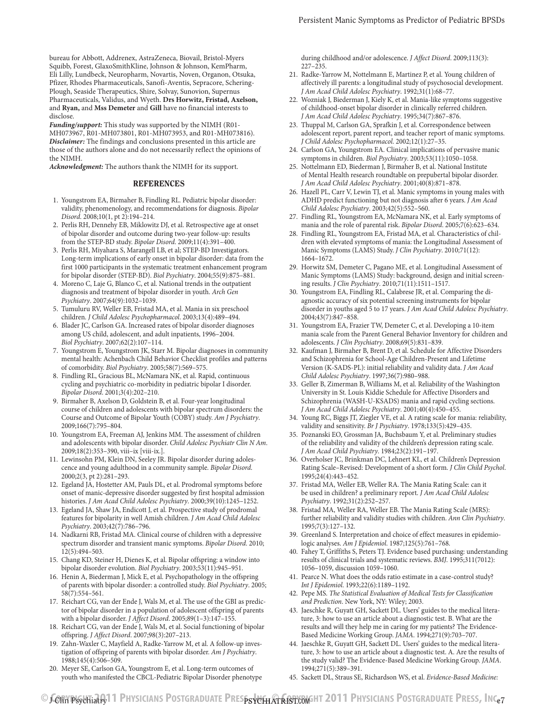bureau for Abbott, Addrenex, AstraZeneca, Biovail, Bristol-Myers Squibb, Forest, GlaxoSmithKline, Johnson & Johnson, KemPharm, Eli Lilly, Lundbeck, Neuropharm, Novartis, Noven, Organon, Otsuka, Pfizer, Rhodes Pharmaceuticals, Sanofi-Aventis, Sepracore, Schering-Plough, Seaside Therapeutics, Shire, Solvay, Sunovion, Supernus Pharmaceuticals, Validus, and Wyeth. **Drs Horwitz, Fristad, Axelson,**  and **Ryan,** and **Mss Demeter** and **Gill** have no financial interests to disclose.

*Funding/support:* This study was supported by the NIMH (R01- MH073967, R01-MH073801, R01-MH073953, and R01-MH073816). *Disclaimer:* The findings and conclusions presented in this article are those of the authors alone and do not necessarily reflect the opinions of the NIMH.

*Acknowledgment:* The authors thank the NIMH for its support.

#### REFERENCES

- 1. Youngstrom EA, Birmaher B, Findling RL. Pediatric bipolar disorder: validity, phenomenology, and recommendations for diagnosis. *Bipolar Disord.* 2008;10(1, pt 2):194-214.
- 2. Perlis RH, Dennehy EB, Miklowitz DJ, et al. Retrospective age at onset of bipolar disorder and outcome during two-year follow-up: results from the STEP-BD study. *Bipolar Disord*. 2009;11(4):391-400.
- 3. Perlis RH, Miyahara S, Marangell LB, et al; STEP-BD Investigators. Long-term implications of early onset in bipolar disorder: data from the first 1000 participants in the systematic treatment enhancement program for bipolar disorder (STEP-BD). *Biol Psychiatry*. 2004;55(9):875-881.
- 4. Moreno C, Laje G, Blanco C, et al. National trends in the outpatient diagnosis and treatment of bipolar disorder in youth. *Arch Gen*  Psychiatry. 2007;64(9):1032-1039.
- 5. Tumuluru RV, Weller EB, Fristad MA, et al. Mania in six preschool children. *J Child Adolesc Psychopharmacol*. 2003;13(4):489-494.
- 6. Blader JC, Carlson GA. Increased rates of bipolar disorder diagnoses among US child, adolescent, and adult inpatients, 1996–2004. *Biol Psychiatry*. 2007;62(2):107-114.
- 7. Youngstrom E, Youngstrom JK, Starr M. Bipolar diagnoses in community mental health: Achenbach Child Behavior Checklist profiles and patterns of comorbidity. *Biol Psychiatry*. 2005;58(7):569-575.
- 8. Findling RL, Gracious BL, McNamara NK, et al. Rapid, continuous cycling and psychiatric co-morbidity in pediatric bipolar I disorder. *Bipolar Disord.* 2001;3(4):202-210.
- 9. Birmaher B, Axelson D, Goldstein B, et al. Four-year longitudinal course of children and adolescents with bipolar spectrum disorders: the Course and Outcome of Bipolar Youth (COBY) study. *Am J Psychiatry*. 2009;166(7):795-804.
- 10. Youngstrom EA, Freeman AJ, Jenkins MM. The assessment of children and adolescents with bipolar disorder. *Child Adolesc Psychiatr Clin N Am*. 2009;18(2):353-390, viii-ix [viii-ix.].
- 11. Lewinsohn PM, Klein DN, Seeley JR. Bipolar disorder during adolescence and young adulthood in a community sample. *Bipolar Disord*. 2000;2(3, pt 2):281-293.
- 12. Egeland JA, Hostetter AM, Pauls DL, et al. Prodromal symptoms before onset of manic-depressive disorder suggested by first hospital admission histories. *J Am Acad Child Adolesc Psychiatry*. 2000;39(10):1245-1252.
- 13. Egeland JA, Shaw JA, Endicott J, et al. Prospective study of prodromal features for bipolarity in well Amish children. *J Am Acad Child Adolesc*  Psychiatry. 2003;42(7):786-796.
- 14. Nadkarni RB, Fristad MA. Clinical course of children with a depressive spectrum disorder and transient manic symptoms. *Bipolar Disord*. 2010;  $12(5):494-503.$
- 15. Chang KD, Steiner H, Dienes K, et al. Bipolar offspring: a window into bipolar disorder evolution. *Biol Psychiatry*. 2003;53(11):945-951.
- 16. Henin A, Biederman J, Mick E, et al. Psychopathology in the offspring of parents with bipolar disorder: a controlled study. *Biol Psychiatry*. 2005; 58(7):554-561.
- 17. Reichart CG, van der Ende J, Wals M, et al. The use of the GBI as predictor of bipolar disorder in a population of adolescent offspring of parents with a bipolar disorder. *J Affect Disord*. 2005;89(1-3):147-155.
- 18. Reichart CG, van der Ende J, Wals M, et al. Social functioning of bipolar offspring. *J Affect Disord*. 2007;98(3):207-213.
- 19. Zahn-Waxler C, Mayfield A, Radke-Yarrow M, et al. A follow-up investigation of offspring of parents with bipolar disorder. *Am J Psychiatry*. 1988;145(4):506-509.
- 20. Meyer SE, Carlson GA, Youngstrom E, et al. Long-term outcomes of youth who manifested the CBCL-Pediatric Bipolar Disorder phenotype

during childhood and/or adolescence. *J Affect Disord*. 2009;113(3):  $227 - 235.$ 

- 21. Radke-Yarrow M, Nottelmann E, Martinez P, et al. Young children of affectively ill parents: a longitudinal study of psychosocial development. J Am Acad Child Adolesc Psychiatry. 1992;31(1):68-77.
- 22. Wozniak J, Biederman J, Kiely K, et al. Mania-like symptoms suggestive of childhood-onset bipolar disorder in clinically referred children. J Am Acad Child Adolesc Psychiatry. 1995;34(7):867-876.
- 23. Thuppal M, Carlson GA, Sprafkin J, et al. Correspondence between adolescent report, parent report, and teacher report of manic symptoms. *J Child Adolesc Psychopharmacol.* 2002;12(1):27-35.
- 24. Carlson GA, Youngstrom EA. Clinical implications of pervasive manic symptoms in children. *Biol Psychiatry*. 2003;53(11):1050-1058.
- 25. Nottelmann ED, Biederman J, Birmaher B, et al. National Institute of Mental Health research roundtable on prepubertal bipolar disorder. J Am Acad Child Adolesc Psychiatry. 2001;40(8):871-878.
- 26. Hazell PL, Carr V, Lewin TJ, et al. Manic symptoms in young males with ADHD predict functioning but not diagnosis after 6 years. *J Am Acad Child Adolesc Psychiatry*. 2003;42(5):552-560.
- 27. Findling RL, Youngstrom EA, McNamara NK, et al. Early symptoms of mania and the role of parental risk. *Bipolar Disord*. 2005;7(6):623-634.
- 28. Findling RL, Youngstrom EA, Fristad MA, et al. Characteristics of children with elevated symptoms of mania: the Longitudinal Assessment of Manic Symptoms (LAMS) Study. *J Clin Psychiatry*. 2010;71(12):  $1664 - 1672.$
- 29. Horwitz SM, Demeter C, Pagano ME, et al. Longitudinal Assessment of Manic Symptoms (LAMS) Study: background, design and initial screening results. *J Clin Psychiatry*. 2010;71(11):1511-1517.
- 30. Youngstrom EA, Findling RL, Calabrese JR, et al. Comparing the diagnostic accuracy of six potential screening instruments for bipolar disorder in youths aged 5 to 17 years. *J Am Acad Child Adolesc Psychiatry*. 2004;43(7):847-858.
- 31. Youngstrom EA, Frazier TW, Demeter C, et al. Developing a 10-item mania scale from the Parent General Behavior Inventory for children and adolescents. *J Clin Psychiatry*. 2008;69(5):831-839.
- 32. Kaufman J, Birmaher B, Brent D, et al. Schedule for Affective Disorders and Schizophrenia for School-Age Children-Present and Lifetime Version (K-SADS-PL): initial reliability and validity data. *J Am Acad Child Adolesc Psychiatry*. 1997;36(7):980-988.
- 33. Geller B, Zimerman B, Williams M, et al. Reliability of the Washington University in St. Louis Kiddie Schedule for Affective Disorders and Schizophrenia (WASH-U-KSADS) mania and rapid cycling sections. *J Am Acad Child Adolesc Psychiatry*. 2001;40(4):450-455.
- 34. Young RC, Biggs JT, Ziegler VE, et al. A rating scale for mania: reliability, validity and sensitivity. *Br J Psychiatry*. 1978;133(5):429-435.
- 35. Poznanski EO, Grossman JA, Buchsbaum Y, et al. Preliminary studies of the reliability and validity of the children's depression rating scale. J Am Acad Child Psychiatry. 1984;23(2):191-197
- 36. Overholser JC, Brinkman DC, Lehnert KL, et al. Children's Depression Rating Scale–Revised: Development of a short form. *J Clin Child Psychol*.  $1995:24(4):443-452.$
- 37. Fristad MA, Weller EB, Weller RA. The Mania Rating Scale: can it be used in children? a preliminary report. *J Am Acad Child Adolesc*  Psychiatry. 1992;31(2):252-257.
- 38. Fristad MA, Weller RA, Weller EB. The Mania Rating Scale (MRS): further reliability and validity studies with children. *Ann Clin Psychiatry*. 1995;7(3):127-132.
- 39. Greenland S. Interpretation and choice of effect measures in epidemiologic analyses. *Am J Epidemiol*. 1987;125(5):761-768.
- 40. Fahey T, Griffiths S, Peters TJ. Evidence based purchasing: understanding results of clinical trials and systematic reviews. *BMJ*. 1995;311(7012): 1056–1059, discussion 1059–1060.
- 41. Pearce N. What does the odds ratio estimate in a case-control study? *Int J Epidemiol.* 1993;22(6):1189-1192.
- 42. Pepe MS. *The Statistical Evaluation of Medical Tests for Classification and Prediction*. New York, NY: Wiley; 2003.
- 43. Jaeschke R, Guyatt GH, Sackett DL. Users' guides to the medical literature, 3: how to use an article about a diagnostic test. B. What are the results and will they help me in caring for my patients? The Evidence-Based Medicine Working Group. *JAMA*. 1994;271(9):703-707.
- 44. Jaeschke R, Guyatt GH, Sackett DL. Users' guides to the medical literature, 3: how to use an article about a diagnostic test. A. Are the results of the study valid? The Evidence-Based Medicine Working Group. *JAMA*. 1994;271(5):389-391.
- 45. Sackett DL, Straus SE, Richardson WS, et al. *Evidence-Based Medicine:*